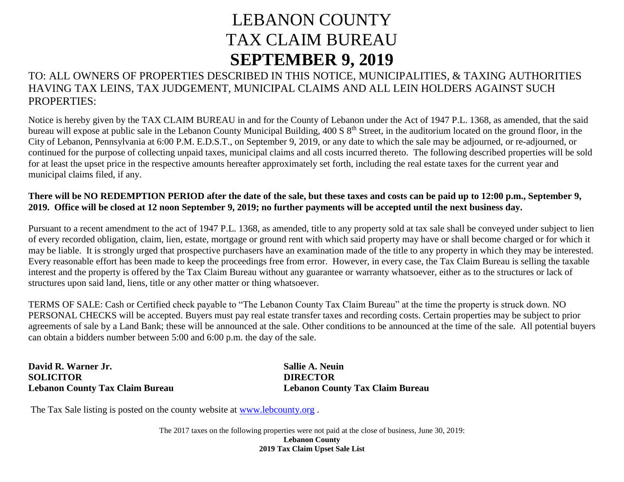## LEBANON COUNTY TAX CLAIM BUREAU **SEPTEMBER 9, 2019**

## TO: ALL OWNERS OF PROPERTIES DESCRIBED IN THIS NOTICE, MUNICIPALITIES, & TAXING AUTHORITIES HAVING TAX LEINS, TAX JUDGEMENT, MUNICIPAL CLAIMS AND ALL LEIN HOLDERS AGAINST SUCH PROPERTIES:

Notice is hereby given by the TAX CLAIM BUREAU in and for the County of Lebanon under the Act of 1947 P.L. 1368, as amended, that the said bureau will expose at public sale in the Lebanon County Municipal Building, 400 S 8<sup>th</sup> Street, in the auditorium located on the ground floor, in the City of Lebanon, Pennsylvania at 6:00 P.M. E.D.S.T., on September 9, 2019, or any date to which the sale may be adjourned, or re-adjourned, or continued for the purpose of collecting unpaid taxes, municipal claims and all costs incurred thereto. The following described properties will be sold for at least the upset price in the respective amounts hereafter approximately set forth, including the real estate taxes for the current year and municipal claims filed, if any.

## **There will be NO REDEMPTION PERIOD after the date of the sale, but these taxes and costs can be paid up to 12:00 p.m., September 9, 2019. Office will be closed at 12 noon September 9, 2019; no further payments will be accepted until the next business day.**

Pursuant to a recent amendment to the act of 1947 P.L. 1368, as amended, title to any property sold at tax sale shall be conveyed under subject to lien of every recorded obligation, claim, lien, estate, mortgage or ground rent with which said property may have or shall become charged or for which it may be liable. It is strongly urged that prospective purchasers have an examination made of the title to any property in which they may be interested. Every reasonable effort has been made to keep the proceedings free from error. However, in every case, the Tax Claim Bureau is selling the taxable interest and the property is offered by the Tax Claim Bureau without any guarantee or warranty whatsoever, either as to the structures or lack of structures upon said land, liens, title or any other matter or thing whatsoever.

TERMS OF SALE: Cash or Certified check payable to "The Lebanon County Tax Claim Bureau" at the time the property is struck down. NO PERSONAL CHECKS will be accepted. Buyers must pay real estate transfer taxes and recording costs. Certain properties may be subject to prior agreements of sale by a Land Bank; these will be announced at the sale. Other conditions to be announced at the time of the sale. All potential buyers can obtain a bidders number between 5:00 and 6:00 p.m. the day of the sale.

**David R. Warner Jr. Sallie A. Neuin SOLICITOR DIRECTOR**

**Lebanon County Tax Claim Bureau Lebanon County Tax Claim Bureau**

The Tax Sale listing is posted on the county website at [www.lebcounty.org](http://www.lebcounty.org/) .

The 2017 taxes on the following properties were not paid at the close of business, June 30, 2019: **Lebanon County 2019 Tax Claim Upset Sale List**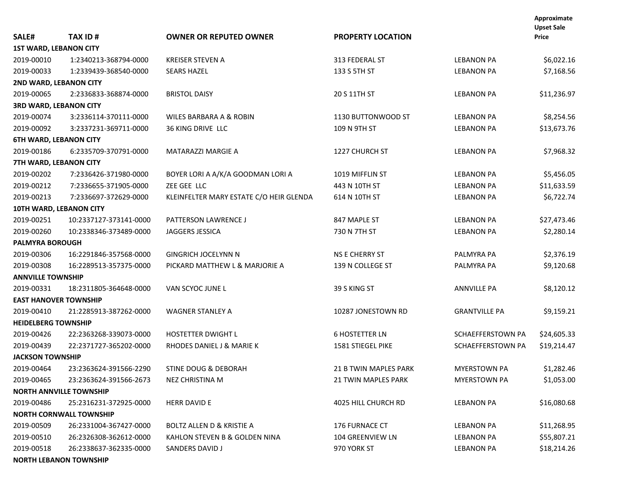|                               |                                |                                         |                            |                      | Approximate<br><b>Upset Sale</b> |
|-------------------------------|--------------------------------|-----------------------------------------|----------------------------|----------------------|----------------------------------|
| SALE#                         | <b>TAX ID#</b>                 | <b>OWNER OR REPUTED OWNER</b>           | <b>PROPERTY LOCATION</b>   |                      | <b>Price</b>                     |
| <b>1ST WARD, LEBANON CITY</b> |                                |                                         |                            |                      |                                  |
| 2019-00010                    | 1:2340213-368794-0000          | <b>KREISER STEVEN A</b>                 | 313 FEDERAL ST             | <b>LEBANON PA</b>    | \$6,022.16                       |
| 2019-00033                    | 1:2339439-368540-0000          | <b>SEARS HAZEL</b>                      | 133 S 5TH ST               | <b>LEBANON PA</b>    | \$7,168.56                       |
| 2ND WARD, LEBANON CITY        |                                |                                         |                            |                      |                                  |
| 2019-00065                    | 2:2336833-368874-0000          | <b>BRISTOL DAISY</b>                    | 20 S 11TH ST               | <b>LEBANON PA</b>    | \$11,236.97                      |
| <b>3RD WARD, LEBANON CITY</b> |                                |                                         |                            |                      |                                  |
| 2019-00074                    | 3:2336114-370111-0000          | WILES BARBARA A & ROBIN                 | 1130 BUTTONWOOD ST         | <b>LEBANON PA</b>    | \$8,254.56                       |
| 2019-00092                    | 3:2337231-369711-0000          | 36 KING DRIVE LLC                       | 109 N 9TH ST               | <b>LEBANON PA</b>    | \$13,673.76                      |
| <b>6TH WARD, LEBANON CITY</b> |                                |                                         |                            |                      |                                  |
| 2019-00186                    | 6:2335709-370791-0000          | <b>MATARAZZI MARGIE A</b>               | 1227 CHURCH ST             | <b>LEBANON PA</b>    | \$7,968.32                       |
| 7TH WARD, LEBANON CITY        |                                |                                         |                            |                      |                                  |
| 2019-00202                    | 7:2336426-371980-0000          | BOYER LORI A A/K/A GOODMAN LORI A       | 1019 MIFFLIN ST            | <b>LEBANON PA</b>    | \$5,456.05                       |
| 2019-00212                    | 7:2336655-371905-0000          | ZEE GEE LLC                             | 443 N 10TH ST              | <b>LEBANON PA</b>    | \$11,633.59                      |
| 2019-00213                    | 7:2336697-372629-0000          | KLEINFELTER MARY ESTATE C/O HEIR GLENDA | 614 N 10TH ST              | <b>LEBANON PA</b>    | \$6,722.74                       |
| 10TH WARD, LEBANON CITY       |                                |                                         |                            |                      |                                  |
| 2019-00251                    | 10:2337127-373141-0000         | PATTERSON LAWRENCE J                    | 847 MAPLE ST               | <b>LEBANON PA</b>    | \$27,473.46                      |
| 2019-00260                    | 10:2338346-373489-0000         | JAGGERS JESSICA                         | 730 N 7TH ST               | <b>LEBANON PA</b>    | \$2,280.14                       |
| <b>PALMYRA BOROUGH</b>        |                                |                                         |                            |                      |                                  |
| 2019-00306                    | 16:2291846-357568-0000         | <b>GINGRICH JOCELYNN N</b>              | <b>NS E CHERRY ST</b>      | PALMYRA PA           | \$2,376.19                       |
| 2019-00308                    | 16:2289513-357375-0000         | PICKARD MATTHEW L & MARJORIE A          | 139 N COLLEGE ST           | PALMYRA PA           | \$9,120.68                       |
| <b>ANNVILLE TOWNSHIP</b>      |                                |                                         |                            |                      |                                  |
| 2019-00331                    | 18:2311805-364648-0000         | VAN SCYOC JUNE L                        | 39 S KING ST               | <b>ANNVILLE PA</b>   | \$8,120.12                       |
| <b>EAST HANOVER TOWNSHIP</b>  |                                |                                         |                            |                      |                                  |
| 2019-00410                    | 21:2285913-387262-0000         | <b>WAGNER STANLEY A</b>                 | 10287 JONESTOWN RD         | <b>GRANTVILLE PA</b> | \$9,159.21                       |
| <b>HEIDELBERG TOWNSHIP</b>    |                                |                                         |                            |                      |                                  |
| 2019-00426                    | 22:2363268-339073-0000         | <b>HOSTETTER DWIGHT L</b>               | <b>6 HOSTETTER LN</b>      | SCHAEFFERSTOWN PA    | \$24,605.33                      |
| 2019-00439                    | 22:2371727-365202-0000         | RHODES DANIEL J & MARIE K               | 1581 STIEGEL PIKE          | SCHAEFFERSTOWN PA    | \$19,214.47                      |
| <b>JACKSON TOWNSHIP</b>       |                                |                                         |                            |                      |                                  |
| 2019-00464                    | 23:2363624-391566-2290         | STINE DOUG & DEBORAH                    | 21 B TWIN MAPLES PARK      | <b>MYERSTOWN PA</b>  | \$1,282.46                       |
| 2019-00465                    | 23:2363624-391566-2673         | NEZ CHRISTINA M                         | <b>21 TWIN MAPLES PARK</b> | <b>MYERSTOWN PA</b>  | \$1,053.00                       |
|                               | <b>NORTH ANNVILLE TOWNSHIP</b> |                                         |                            |                      |                                  |
| 2019-00486                    | 25:2316231-372925-0000         | <b>HERR DAVID E</b>                     | 4025 HILL CHURCH RD        | <b>LEBANON PA</b>    | \$16,080.68                      |
|                               | <b>NORTH CORNWALL TOWNSHIP</b> |                                         |                            |                      |                                  |
| 2019-00509                    | 26:2331004-367427-0000         | BOLTZ ALLEN D & KRISTIE A               | 176 FURNACE CT             | LEBANON PA           | \$11,268.95                      |
| 2019-00510                    | 26:2326308-362612-0000         | KAHLON STEVEN B & GOLDEN NINA           | 104 GREENVIEW LN           | <b>LEBANON PA</b>    | \$55,807.21                      |
| 2019-00518                    | 26:2338637-362335-0000         | SANDERS DAVID J                         | 970 YORK ST                | LEBANON PA           | \$18,214.26                      |
|                               | <b>NORTH LEBANON TOWNSHIP</b>  |                                         |                            |                      |                                  |